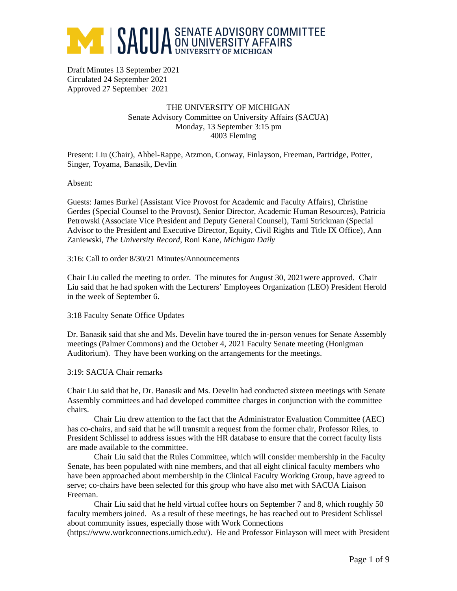

Draft Minutes 13 September 2021 Circulated 24 September 2021 Approved 27 September 2021

#### THE UNIVERSITY OF MICHIGAN Senate Advisory Committee on University Affairs (SACUA) Monday, 13 September 3:15 pm 4003 Fleming

Present: Liu (Chair), Ahbel-Rappe, Atzmon, Conway, Finlayson, Freeman, Partridge, Potter, Singer, Toyama, Banasik, Devlin

Absent:

Guests: James Burkel (Assistant Vice Provost for Academic and Faculty Affairs), Christine Gerdes (Special Counsel to the Provost), Senior Director, Academic Human Resources), Patricia Petrowski (Associate Vice President and Deputy General Counsel), Tami Strickman (Special Advisor to the President and Executive Director, Equity, Civil Rights and Title IX Office), Ann Zaniewski, *The University Record*, Roni Kane, *Michigan Daily*

3:16: Call to order 8/30/21 Minutes/Announcements

Chair Liu called the meeting to order. The minutes for August 30, 2021were approved. Chair Liu said that he had spoken with the Lecturers' Employees Organization (LEO) President Herold in the week of September 6.

3:18 Faculty Senate Office Updates

Dr. Banasik said that she and Ms. Develin have toured the in-person venues for Senate Assembly meetings (Palmer Commons) and the October 4, 2021 Faculty Senate meeting (Honigman Auditorium). They have been working on the arrangements for the meetings.

3:19: SACUA Chair remarks

Chair Liu said that he, Dr. Banasik and Ms. Develin had conducted sixteen meetings with Senate Assembly committees and had developed committee charges in conjunction with the committee chairs.

Chair Liu drew attention to the fact that the Administrator Evaluation Committee (AEC) has co-chairs, and said that he will transmit a request from the former chair, Professor Riles, to President Schlissel to address issues with the HR database to ensure that the correct faculty lists are made available to the committee.

Chair Liu said that the Rules Committee, which will consider membership in the Faculty Senate, has been populated with nine members, and that all eight clinical faculty members who have been approached about membership in the Clinical Faculty Working Group, have agreed to serve; co-chairs have been selected for this group who have also met with SACUA Liaison Freeman.

Chair Liu said that he held virtual coffee hours on September 7 and 8, which roughly 50 faculty members joined. As a result of these meetings, he has reached out to President Schlissel about community issues, especially those with Work Connections

(https://www.workconnections.umich.edu/). He and Professor Finlayson will meet with President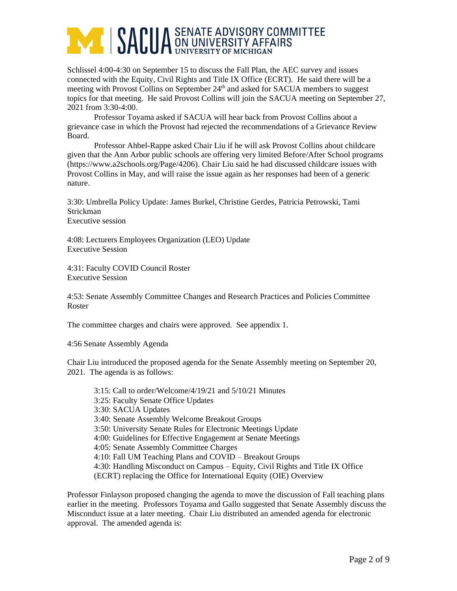

Schlissel 4:00-4:30 on September 15 to discuss the Fall Plan, the AEC survey and issues connected with the Equity, Civil Rights and Title IX Office (ECRT). He said there will be a meeting with Provost Collins on September 24<sup>th</sup> and asked for SACUA members to suggest topics for that meeting. He said Provost Collins will join the SACUA meeting on September 27, 2021 from 3:30-4:00.

Professor Toyama asked if SACUA will hear back from Provost Collins about a grievance case in which the Provost had rejected the recommendations of a Grievance Review Board.

Professor Ahbel-Rappe asked Chair Liu if he will ask Provost Collins about childcare given that the Ann Arbor public schools are offering very limited Before/After School programs (https://www.a2schools.org/Page/4206). Chair Liu said he had discussed childcare issues with Provost Collins in May, and will raise the issue again as her responses had been of a generic nature.

3:30: Umbrella Policy Update: James Burkel, Christine Gerdes, Patricia Petrowski, Tami Strickman Executive session

4:08: Lecturers Employees Organization (LEO) Update Executive Session

4:31: Faculty COVID Council Roster Executive Session

4:53: Senate Assembly Committee Changes and Research Practices and Policies Committee Roster

The committee charges and chairs were approved. See appendix 1.

4:56 Senate Assembly Agenda

Chair Liu introduced the proposed agenda for the Senate Assembly meeting on September 20, 2021. The agenda is as follows:

3:15: Call to order/Welcome/4/19/21 and 5/10/21 Minutes 3:25: Faculty Senate Office Updates 3:30: SACUA Updates 3:40: Senate Assembly Welcome Breakout Groups 3:50: University Senate Rules for Electronic Meetings Update 4:00: Guidelines for Effective Engagement at Senate Meetings 4:05: Senate Assembly Committee Charges 4:10: Fall UM Teaching Plans and COVID – Breakout Groups 4:30: Handling Misconduct on Campus – Equity, Civil Rights and Title IX Office (ECRT) replacing the Office for International Equity (OIE) Overview

Professor Finlayson proposed changing the agenda to move the discussion of Fall teaching plans earlier in the meeting. Professors Toyama and Gallo suggested that Senate Assembly discuss the Misconduct issue at a later meeting. Chair Liu distributed an amended agenda for electronic approval. The amended agenda is: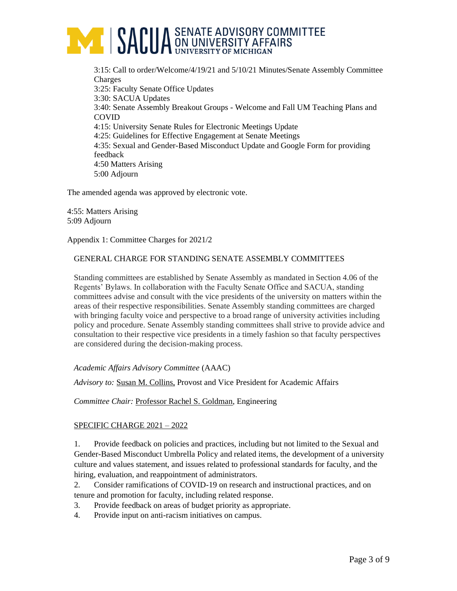

3:15: Call to order/Welcome/4/19/21 and 5/10/21 Minutes/Senate Assembly Committee Charges 3:25: Faculty Senate Office Updates 3:30: SACUA Updates 3:40: Senate Assembly Breakout Groups - Welcome and Fall UM Teaching Plans and COVID 4:15: University Senate Rules for Electronic Meetings Update 4:25: Guidelines for Effective Engagement at Senate Meetings 4:35: Sexual and Gender-Based Misconduct Update and Google Form for providing feedback 4:50 Matters Arising 5:00 Adjourn

The amended agenda was approved by electronic vote.

4:55: Matters Arising 5:09 Adjourn

Appendix 1: Committee Charges for 2021/2

#### GENERAL CHARGE FOR STANDING SENATE ASSEMBLY COMMITTEES

Standing committees are established by Senate Assembly as mandated in Section 4.06 of the Regents' Bylaws. In collaboration with the Faculty Senate Office and SACUA, standing committees advise and consult with the vice presidents of the university on matters within the areas of their respective responsibilities. Senate Assembly standing committees are charged with bringing faculty voice and perspective to a broad range of university activities including policy and procedure. Senate Assembly standing committees shall strive to provide advice and consultation to their respective vice presidents in a timely fashion so that faculty perspectives are considered during the decision-making process.

*Academic Affairs Advisory Committee* (AAAC)

*Advisory to:* Susan M. Collins, Provost and Vice President for Academic Affairs

*Committee Chair:* Professor Rachel S. Goldman, Engineering

#### SPECIFIC CHARGE 2021 – 2022

1. Provide feedback on policies and practices, including but not limited to the Sexual and Gender-Based Misconduct Umbrella Policy and related items, the development of a university culture and values statement, and issues related to professional standards for faculty, and the hiring, evaluation, and reappointment of administrators.

- 2. Consider ramifications of COVID-19 on research and instructional practices, and on tenure and promotion for faculty, including related response.
- 3. Provide feedback on areas of budget priority as appropriate.
- 4. Provide input on anti-racism initiatives on campus.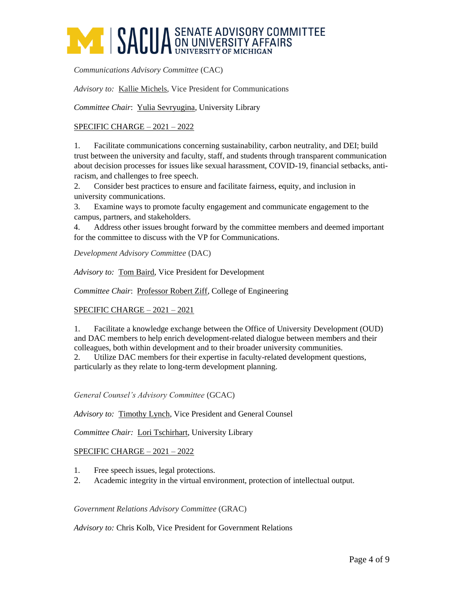# **AME SACUA** SENATE ADVISORY COMMITTEE

*Communications Advisory Committee* (CAC)

*Advisory to:* Kallie Michels, Vice President for Communications

*Committee Chair*: Yulia Sevryugina, University Library

### SPECIFIC CHARGE – 2021 – 2022

1. Facilitate communications concerning sustainability, carbon neutrality, and DEI; build trust between the university and faculty, staff, and students through transparent communication about decision processes for issues like sexual harassment, COVID-19, financial setbacks, antiracism, and challenges to free speech.

2. Consider best practices to ensure and facilitate fairness, equity, and inclusion in university communications.

3. Examine ways to promote faculty engagement and communicate engagement to the campus, partners, and stakeholders.

4. Address other issues brought forward by the committee members and deemed important for the committee to discuss with the VP for Communications.

*Development Advisory Committee* (DAC)

*Advisory to:* Tom Baird, Vice President for Development

*Committee Chair*: Professor Robert Ziff, College of Engineering

#### SPECIFIC CHARGE – 2021 – 2021

1. Facilitate a knowledge exchange between the Office of University Development (OUD) and DAC members to help enrich development-related dialogue between members and their colleagues, both within development and to their broader university communities.

2. Utilize DAC members for their expertise in faculty-related development questions, particularly as they relate to long-term development planning.

*General Counsel's Advisory Committee* (GCAC)

*Advisory to:* Timothy Lynch, Vice President and General Counsel

*Committee Chair:* Lori Tschirhart, University Library

#### SPECIFIC CHARGE – 2021 – 2022

- 1. Free speech issues, legal protections.
- 2. Academic integrity in the virtual environment, protection of intellectual output.

#### *Government Relations Advisory Committee* (GRAC)

*Advisory to:* Chris Kolb, Vice President for Government Relations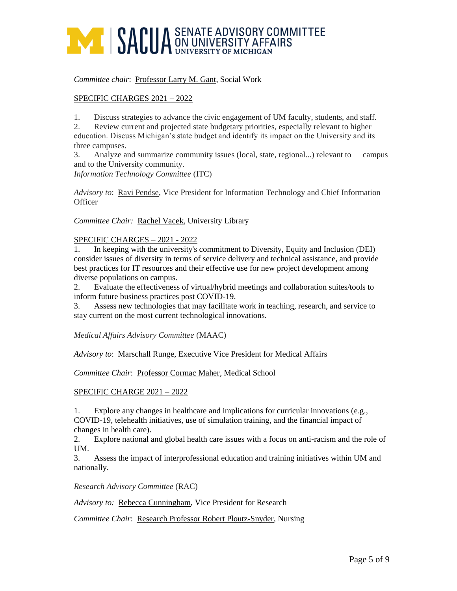## **ANDUA** SENATE ADVISORY COMMITTEE

#### *Committee chair*: Professor Larry M. Gant, Social Work

### SPECIFIC CHARGES 2021 – 2022

1. Discuss strategies to advance the civic engagement of UM faculty, students, and staff.

2. Review current and projected state budgetary priorities, especially relevant to higher education. Discuss Michigan's state budget and identify its impact on the University and its three campuses.

3. Analyze and summarize community issues (local, state, regional...) relevant to campus and to the University community.

*Information Technology Committee* (ITC)

*Advisory to*: Ravi Pendse, Vice President for Information Technology and Chief Information **Officer** 

*Committee Chair:* Rachel Vacek, University Library

#### SPECIFIC CHARGES – 2021 - 2022

1. In keeping with the university's commitment to Diversity, Equity and Inclusion (DEI) consider issues of diversity in terms of service delivery and technical assistance, and provide best practices for IT resources and their effective use for new project development among diverse populations on campus.

2. Evaluate the effectiveness of virtual/hybrid meetings and collaboration suites/tools to inform future business practices post COVID-19.

3. Assess new technologies that may facilitate work in teaching, research, and service to stay current on the most current technological innovations.

*Medical Affairs Advisory Committee* (MAAC)

*Advisory to*: Marschall Runge, Executive Vice President for Medical Affairs

Committee Chair: Professor Cormac Maher, Medical School

#### SPECIFIC CHARGE 2021 – 2022

1. Explore any changes in healthcare and implications for curricular innovations (e.g., COVID-19, telehealth initiatives, use of simulation training, and the financial impact of changes in health care).

2. Explore national and global health care issues with a focus on anti-racism and the role of UM.

3. Assess the impact of interprofessional education and training initiatives within UM and nationally.

*Research Advisory Committee* (RAC)

*Advisory to:* Rebecca Cunningham, Vice President for Research

*Committee Chair*: Research Professor Robert Ploutz-Snyder, Nursing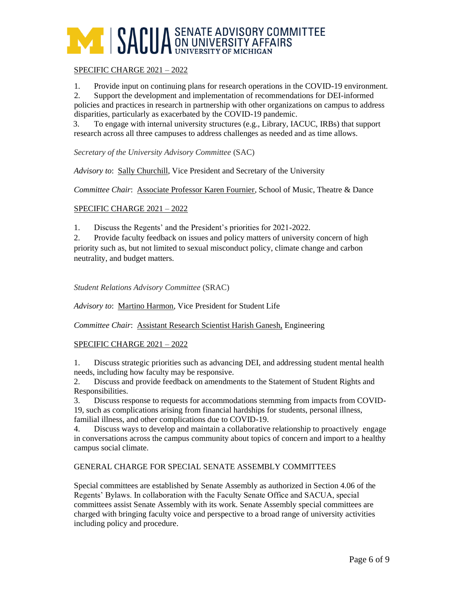

#### SPECIFIC CHARGE 2021 – 2022

1. Provide input on continuing plans for research operations in the COVID-19 environment.

2. Support the development and implementation of recommendations for DEI-informed policies and practices in research in partnership with other organizations on campus to address disparities, particularly as exacerbated by the COVID-19 pandemic.

 3. To engage with internal university structures (e.g., Library, IACUC, IRBs) that support research across all three campuses to address challenges as needed and as time allows.

*Secretary of the University Advisory Committee* (SAC)

*Advisory to*: Sally Churchill, Vice President and Secretary of the University

*Committee Chair*: Associate Professor Karen Fournier, School of Music, Theatre & Dance

### SPECIFIC CHARGE 2021 – 2022

1. Discuss the Regents' and the President's priorities for 2021-2022.

2. Provide faculty feedback on issues and policy matters of university concern of high priority such as, but not limited to sexual misconduct policy, climate change and carbon neutrality, and budget matters.

*Student Relations Advisory Committee* (SRAC)

*Advisory to*: Martino Harmon*,* Vice President for Student Life

*Committee Chair*: Assistant Research Scientist Harish Ganesh, Engineering

#### SPECIFIC CHARGE 2021 – 2022

1. Discuss strategic priorities such as advancing DEI, and addressing student mental health needs, including how faculty may be responsive.

2. Discuss and provide feedback on amendments to the Statement of Student Rights and Responsibilities.

3. Discuss response to requests for accommodations stemming from impacts from COVID-19, such as complications arising from financial hardships for students, personal illness, familial illness, and other complications due to COVID-19.

4. Discuss ways to develop and maintain a collaborative relationship to proactively engage in conversations across the campus community about topics of concern and import to a healthy campus social climate.

#### GENERAL CHARGE FOR SPECIAL SENATE ASSEMBLY COMMITTEES

Special committees are established by Senate Assembly as authorized in Section 4.06 of the Regents' Bylaws. In collaboration with the Faculty Senate Office and SACUA, special committees assist Senate Assembly with its work. Senate Assembly special committees are charged with bringing faculty voice and perspective to a broad range of university activities including policy and procedure.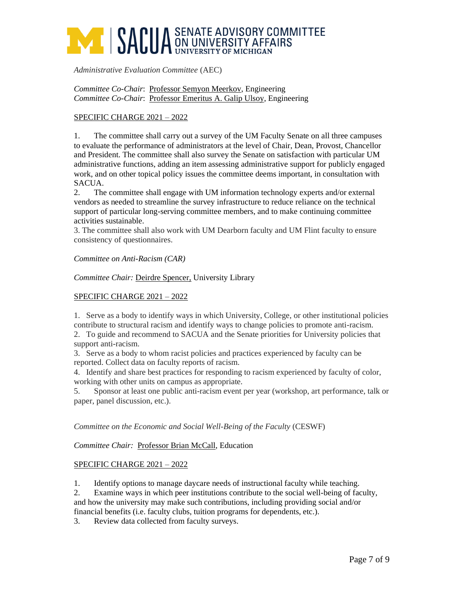## **AME SACUA** SENATE ADVISORY COMMITTEE

*Administrative Evaluation Committee* (AEC)

*Committee Co-Chair*: Professor Semyon Meerkov, Engineering *Committee Co-Chair*: Professor Emeritus A. Galip Ulsoy, Engineering

## SPECIFIC CHARGE 2021 – 2022

1. The committee shall carry out a survey of the UM Faculty Senate on all three campuses to evaluate the performance of administrators at the level of Chair, Dean, Provost, Chancellor and President. The committee shall also survey the Senate on satisfaction with particular UM administrative functions, adding an item assessing administrative support for publicly engaged work, and on other topical policy issues the committee deems important, in consultation with SACUA.

2. The committee shall engage with UM information technology experts and/or external vendors as needed to streamline the survey infrastructure to reduce reliance on the technical support of particular long-serving committee members, and to make continuing committee activities sustainable.

3. The committee shall also work with UM Dearborn faculty and UM Flint faculty to ensure consistency of questionnaires.

*Committee on Anti-Racism (CAR)*

*Committee Chair:* Deirdre Spencer, University Library

### SPECIFIC CHARGE 2021 – 2022

1. Serve as a body to identify ways in which University, College, or other institutional policies contribute to structural racism and identify ways to change policies to promote anti-racism.

2. To guide and recommend to SACUA and the Senate priorities for University policies that support anti-racism.

3. Serve as a body to whom racist policies and practices experienced by faculty can be reported. Collect data on faculty reports of racism.

4. Identify and share best practices for responding to racism experienced by faculty of color, working with other units on campus as appropriate.

5. Sponsor at least one public anti-racism event per year (workshop, art performance, talk or paper, panel discussion, etc.).

*Committee on the Economic and Social Well-Being of the Faculty* (CESWF)

*Committee Chair:* Professor Brian McCall, Education

#### SPECIFIC CHARGE 2021 – 2022

1. Identify options to manage daycare needs of instructional faculty while teaching.

2. Examine ways in which peer institutions contribute to the social well-being of faculty, and how the university may make such contributions, including providing social and/or financial benefits (i.e. faculty clubs, tuition programs for dependents, etc.).

3. Review data collected from faculty surveys.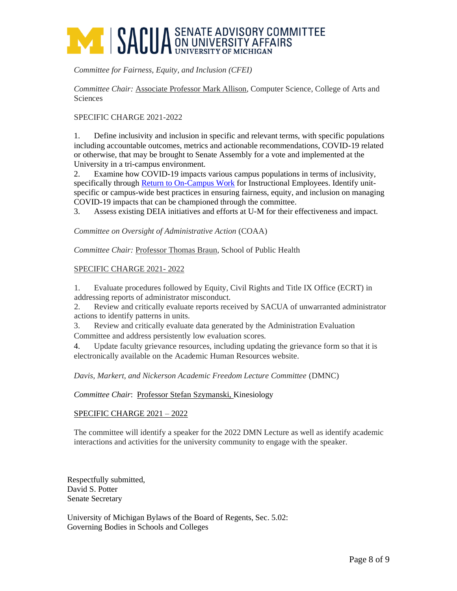# **AMERICA SENATE ADVISORY COMMITTEE**

*Committee for Fairness, Equity, and Inclusion (CFEI)*

*Committee Chair:* Associate Professor Mark Allison, Computer Science, College of Arts and Sciences

### SPECIFIC CHARGE 2021-2022

1. Define inclusivity and inclusion in specific and relevant terms, with specific populations including accountable outcomes, metrics and actionable recommendations, COVID-19 related or otherwise, that may be brought to Senate Assembly for a vote and implemented at the University in a tri-campus environment.

2. Examine how COVID-19 impacts various campus populations in terms of inclusivity, specifically through [Return to On-Campus Work](http://provost.umich.edu/covid-19/20200707returntooncampuswork.html) for Instructional Employees. Identify unitspecific or campus-wide best practices in ensuring fairness, equity, and inclusion on managing COVID-19 impacts that can be championed through the committee.

3. Assess existing DEIA initiatives and efforts at U-M for their effectiveness and impact.

*Committee on Oversight of Administrative Action* (COAA)

*Committee Chair:* Professor Thomas Braun, School of Public Health

### SPECIFIC CHARGE 2021- 2022

1. Evaluate procedures followed by Equity, Civil Rights and Title IX Office (ECRT) in addressing reports of administrator misconduct.

2. Review and critically evaluate reports received by SACUA of unwarranted administrator actions to identify patterns in units.

3. Review and critically evaluate data generated by the Administration Evaluation Committee and address persistently low evaluation scores.

4. Update faculty grievance resources, including updating the grievance form so that it is electronically available on the Academic Human Resources website.

#### *Davis, Markert, and Nickerson Academic Freedom Lecture Committee* (DMNC)

#### *Committee Chair*: Professor Stefan Szymanski, Kinesiology

#### SPECIFIC CHARGE 2021 – 2022

The committee will identify a speaker for the 2022 DMN Lecture as well as identify academic interactions and activities for the university community to engage with the speaker.

Respectfully submitted, David S. Potter Senate Secretary

University of Michigan Bylaws of the Board of Regents, Sec. 5.02: Governing Bodies in Schools and Colleges